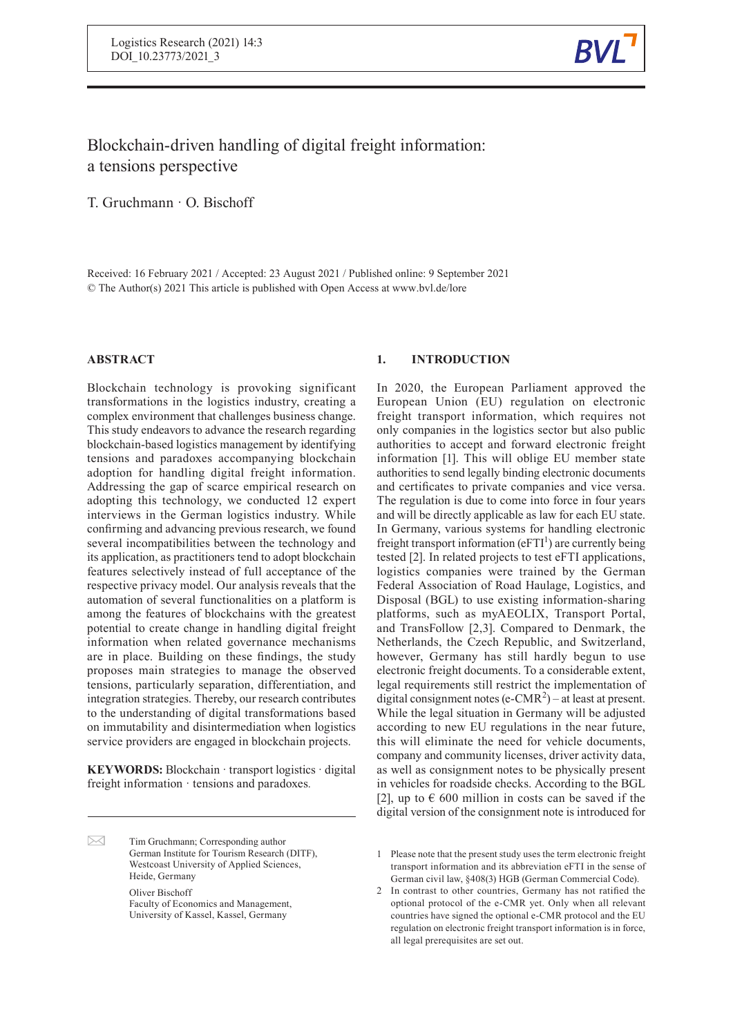

# Blockchain-driven handling of digital freight information: a tensions perspective

T. Gruchmann · O. Bischoff

Received: 16 February 2021 / Accepted: 23 August 2021 / Published online: 9 September 2021 © The Author(s) 2021 This article is published with Open Access at www.bvl.de/lore

# **ABSTRACT**

Blockchain technology is provoking significant transformations in the logistics industry, creating a complex environment that challenges business change. This study endeavors to advance the research regarding blockchain-based logistics management by identifying tensions and paradoxes accompanying blockchain adoption for handling digital freight information. Addressing the gap of scarce empirical research on adopting this technology, we conducted 12 expert interviews in the German logistics industry. While confirming and advancing previous research, we found several incompatibilities between the technology and its application, as practitioners tend to adopt blockchain features selectively instead of full acceptance of the respective privacy model. Our analysis reveals that the automation of several functionalities on a platform is among the features of blockchains with the greatest potential to create change in handling digital freight information when related governance mechanisms are in place. Building on these findings, the study proposes main strategies to manage the observed tensions, particularly separation, differentiation, and integration strategies. Thereby, our research contributes to the understanding of digital transformations based on immutability and disintermediation when logistics service providers are engaged in blockchain projects.

**KEYWORDS:** Blockchain · transport logistics · digital freight information · tensions and paradoxes*.*

**1. INTRODUCTION**

In 2020, the European Parliament approved the European Union (EU) regulation on electronic freight transport information, which requires not only companies in the logistics sector but also public authorities to accept and forward electronic freight information [1]. This will oblige EU member state authorities to send legally binding electronic documents and certificates to private companies and vice versa. The regulation is due to come into force in four years and will be directly applicable as law for each EU state. In Germany, various systems for handling electronic freight transport information ( $eFTI<sup>1</sup>$ ) are currently being tested [2]. In related projects to test eFTI applications, logistics companies were trained by the German Federal Association of Road Haulage, Logistics, and Disposal (BGL) to use existing information-sharing platforms, such as myAEOLIX, Transport Portal, and TransFollow [2,3]. Compared to Denmark, the Netherlands, the Czech Republic, and Switzerland, however, Germany has still hardly begun to use electronic freight documents. To a considerable extent, legal requirements still restrict the implementation of digital consignment notes (e-CMR<sup>2</sup>) – at least at present. While the legal situation in Germany will be adjusted according to new EU regulations in the near future, this will eliminate the need for vehicle documents, company and community licenses, driver activity data, as well as consignment notes to be physically present in vehicles for roadside checks. According to the BGL [2], up to  $\epsilon$  600 million in costs can be saved if the digital version of the consignment note is introduced for

 $\sum$ Tim Gruchmann; Corresponding author German Institute for Tourism Research (DITF), Westcoast University of Applied Sciences, Heide, Germany Oliver Bischoff Faculty of Economics and Management, University of Kassel, Kassel, Germany

<sup>1</sup> Please note that the present study uses the term electronic freight transport information and its abbreviation eFTI in the sense of German civil law, §408(3) HGB (German Commercial Code).

<sup>2</sup> In contrast to other countries, Germany has not ratified the optional protocol of the e-CMR yet. Only when all relevant countries have signed the optional e-CMR protocol and the EU regulation on electronic freight transport information is in force, all legal prerequisites are set out.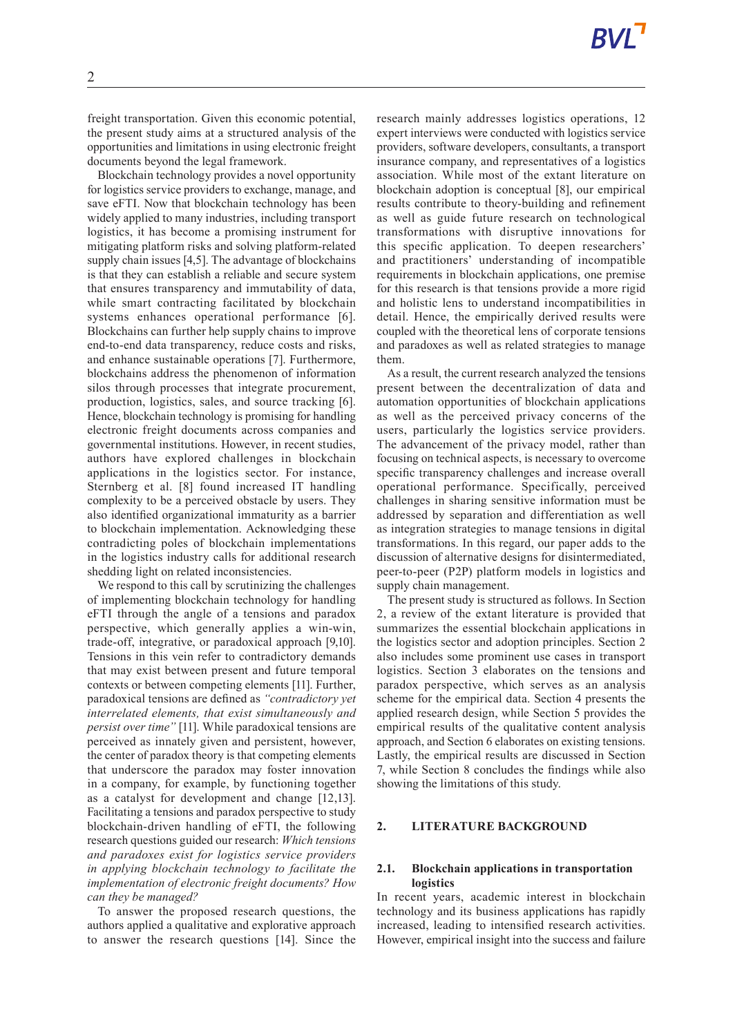freight transportation. Given this economic potential, the present study aims at a structured analysis of the opportunities and limitations in using electronic freight documents beyond the legal framework.

Blockchain technology provides a novel opportunity for logistics service providers to exchange, manage, and save eFTI. Now that blockchain technology has been widely applied to many industries, including transport logistics, it has become a promising instrument for mitigating platform risks and solving platform-related supply chain issues [4,5]. The advantage of blockchains is that they can establish a reliable and secure system that ensures transparency and immutability of data, while smart contracting facilitated by blockchain systems enhances operational performance [6]. Blockchains can further help supply chains to improve end-to-end data transparency, reduce costs and risks, and enhance sustainable operations [7]. Furthermore, blockchains address the phenomenon of information silos through processes that integrate procurement, production, logistics, sales, and source tracking [6]. Hence, blockchain technology is promising for handling electronic freight documents across companies and governmental institutions. However, in recent studies, authors have explored challenges in blockchain applications in the logistics sector. For instance, Sternberg et al. [8] found increased IT handling complexity to be a perceived obstacle by users. They also identified organizational immaturity as a barrier to blockchain implementation. Acknowledging these contradicting poles of blockchain implementations in the logistics industry calls for additional research shedding light on related inconsistencies.

We respond to this call by scrutinizing the challenges of implementing blockchain technology for handling eFTI through the angle of a tensions and paradox perspective, which generally applies a win-win, trade-off, integrative, or paradoxical approach [9,10]. Tensions in this vein refer to contradictory demands that may exist between present and future temporal contexts or between competing elements [11]. Further, paradoxical tensions are defined as *"contradictory yet interrelated elements, that exist simultaneously and persist over time"* [11]. While paradoxical tensions are perceived as innately given and persistent, however, the center of paradox theory is that competing elements that underscore the paradox may foster innovation in a company, for example, by functioning together as a catalyst for development and change [12,13]. Facilitating a tensions and paradox perspective to study blockchain-driven handling of eFTI, the following research questions guided our research: *Which tensions and paradoxes exist for logistics service providers in applying blockchain technology to facilitate the implementation of electronic freight documents? How can they be managed?*

To answer the proposed research questions, the authors applied a qualitative and explorative approach to answer the research questions [14]. Since the

research mainly addresses logistics operations, 12 expert interviews were conducted with logistics service providers, software developers, consultants, a transport insurance company, and representatives of a logistics association. While most of the extant literature on blockchain adoption is conceptual [8], our empirical results contribute to theory-building and refinement as well as guide future research on technological transformations with disruptive innovations for this specific application. To deepen researchers' and practitioners' understanding of incompatible requirements in blockchain applications, one premise for this research is that tensions provide a more rigid and holistic lens to understand incompatibilities in detail. Hence, the empirically derived results were coupled with the theoretical lens of corporate tensions and paradoxes as well as related strategies to manage them.

As a result, the current research analyzed the tensions present between the decentralization of data and automation opportunities of blockchain applications as well as the perceived privacy concerns of the users, particularly the logistics service providers. The advancement of the privacy model, rather than focusing on technical aspects, is necessary to overcome specific transparency challenges and increase overall operational performance. Specifically, perceived challenges in sharing sensitive information must be addressed by separation and differentiation as well as integration strategies to manage tensions in digital transformations. In this regard, our paper adds to the discussion of alternative designs for disintermediated, peer-to-peer (P2P) platform models in logistics and supply chain management.

The present study is structured as follows. In Section 2, a review of the extant literature is provided that summarizes the essential blockchain applications in the logistics sector and adoption principles. Section 2 also includes some prominent use cases in transport logistics. Section 3 elaborates on the tensions and paradox perspective, which serves as an analysis scheme for the empirical data. Section 4 presents the applied research design, while Section 5 provides the empirical results of the qualitative content analysis approach, and Section 6 elaborates on existing tensions. Lastly, the empirical results are discussed in Section 7, while Section 8 concludes the findings while also showing the limitations of this study.

### **2. LITERATURE BACKGROUND**

#### **2.1. Blockchain applications in transportation logistics**

In recent years, academic interest in blockchain technology and its business applications has rapidly increased, leading to intensified research activities. However, empirical insight into the success and failure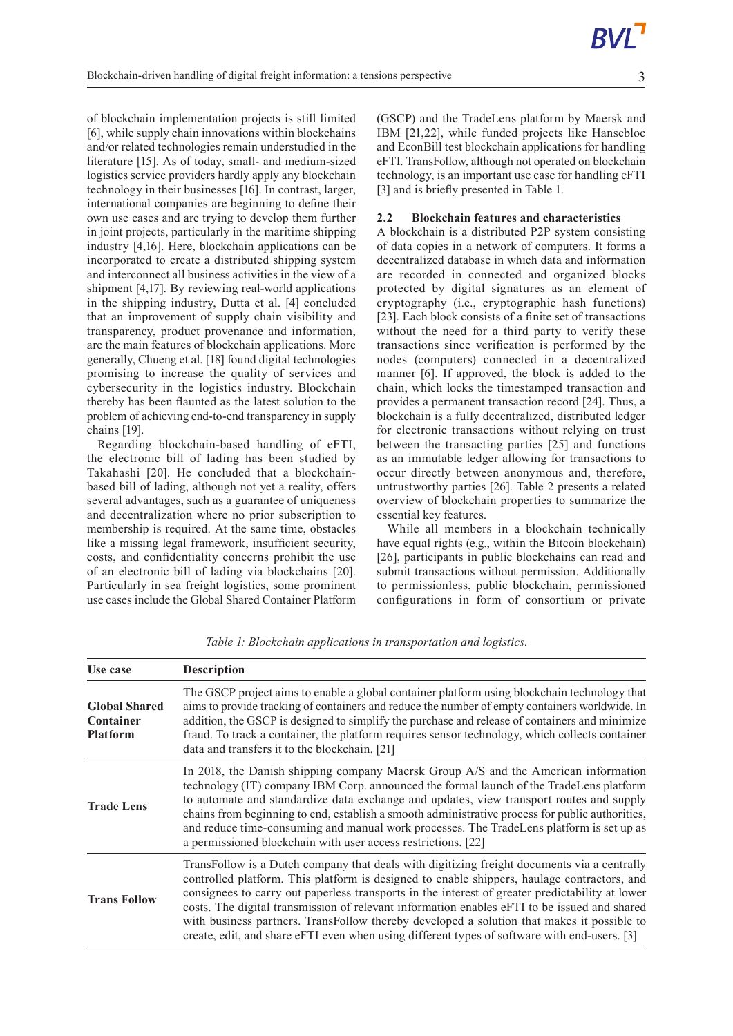of blockchain implementation projects is still limited [6], while supply chain innovations within blockchains and/or related technologies remain understudied in the literature [15]. As of today, small- and medium-sized logistics service providers hardly apply any blockchain technology in their businesses [16]. In contrast, larger, international companies are beginning to define their own use cases and are trying to develop them further in joint projects, particularly in the maritime shipping industry [4,16]. Here, blockchain applications can be incorporated to create a distributed shipping system and interconnect all business activities in the view of a shipment [4,17]. By reviewing real-world applications in the shipping industry, Dutta et al. [4] concluded that an improvement of supply chain visibility and transparency, product provenance and information, are the main features of blockchain applications. More generally, Chueng et al. [18] found digital technologies promising to increase the quality of services and cybersecurity in the logistics industry. Blockchain thereby has been flaunted as the latest solution to the problem of achieving end-to-end transparency in supply chains [19].

Regarding blockchain-based handling of eFTI, the electronic bill of lading has been studied by Takahashi [20]. He concluded that a blockchainbased bill of lading, although not yet a reality, offers several advantages, such as a guarantee of uniqueness and decentralization where no prior subscription to membership is required. At the same time, obstacles like a missing legal framework, insufficient security, costs, and confidentiality concerns prohibit the use of an electronic bill of lading via blockchains [20]. Particularly in sea freight logistics, some prominent use cases include the Global Shared Container Platform

(GSCP) and the TradeLens platform by Maersk and IBM [21,22], while funded projects like Hansebloc and EconBill test blockchain applications for handling eFTI. TransFollow, although not operated on blockchain technology, is an important use case for handling eFTI [3] and is briefly presented in Table 1.

# **2.2 Blockchain features and characteristics**

A blockchain is a distributed P2P system consisting of data copies in a network of computers. It forms a decentralized database in which data and information are recorded in connected and organized blocks protected by digital signatures as an element of cryptography (i.e., cryptographic hash functions) [23]. Each block consists of a finite set of transactions without the need for a third party to verify these transactions since verification is performed by the nodes (computers) connected in a decentralized manner [6]. If approved, the block is added to the chain, which locks the timestamped transaction and provides a permanent transaction record [24]. Thus, a blockchain is a fully decentralized, distributed ledger for electronic transactions without relying on trust between the transacting parties [25] and functions as an immutable ledger allowing for transactions to occur directly between anonymous and, therefore, untrustworthy parties [26]. Table 2 presents a related overview of blockchain properties to summarize the essential key features.

While all members in a blockchain technically have equal rights (e.g., within the Bitcoin blockchain) [26], participants in public blockchains can read and submit transactions without permission. Additionally to permissionless, public blockchain, permissioned configurations in form of consortium or private

| Use case                                             | <b>Description</b>                                                                                                                                                                                                                                                                                                                                                                                                                                                                                                                                                                          |
|------------------------------------------------------|---------------------------------------------------------------------------------------------------------------------------------------------------------------------------------------------------------------------------------------------------------------------------------------------------------------------------------------------------------------------------------------------------------------------------------------------------------------------------------------------------------------------------------------------------------------------------------------------|
| <b>Global Shared</b><br>Container<br><b>Platform</b> | The GSCP project aims to enable a global container platform using blockchain technology that<br>aims to provide tracking of containers and reduce the number of empty containers worldwide. In<br>addition, the GSCP is designed to simplify the purchase and release of containers and minimize<br>fraud. To track a container, the platform requires sensor technology, which collects container<br>data and transfers it to the blockchain. [21]                                                                                                                                         |
| <b>Trade Lens</b>                                    | In 2018, the Danish shipping company Maersk Group A/S and the American information<br>technology (IT) company IBM Corp. announced the formal launch of the TradeLens platform<br>to automate and standardize data exchange and updates, view transport routes and supply<br>chains from beginning to end, establish a smooth administrative process for public authorities,<br>and reduce time-consuming and manual work processes. The TradeLens platform is set up as<br>a permissioned blockchain with user access restrictions. [22]                                                    |
| <b>Trans Follow</b>                                  | TransFollow is a Dutch company that deals with digitizing freight documents via a centrally<br>controlled platform. This platform is designed to enable shippers, haulage contractors, and<br>consignees to carry out paperless transports in the interest of greater predictability at lower<br>costs. The digital transmission of relevant information enables eFTI to be issued and shared<br>with business partners. TransFollow thereby developed a solution that makes it possible to<br>create, edit, and share eFTI even when using different types of software with end-users. [3] |

*Table 1: Blockchain applications in transportation and logistics.*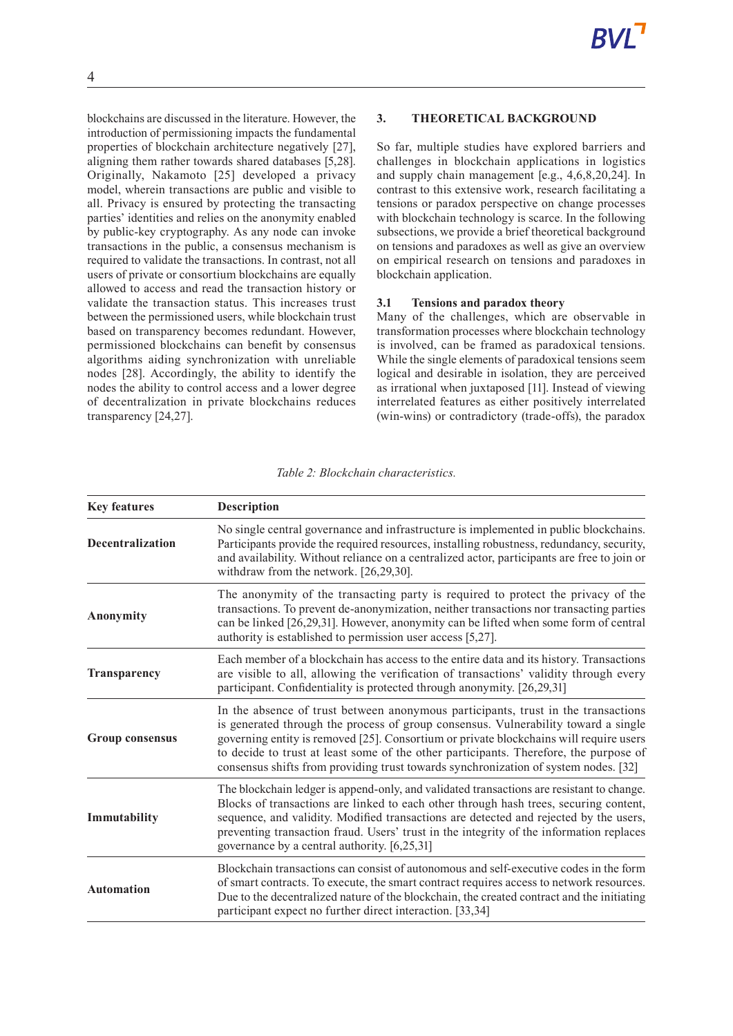blockchains are discussed in the literature. However, the introduction of permissioning impacts the fundamental properties of blockchain architecture negatively [27], aligning them rather towards shared databases [5,28]. Originally, Nakamoto [25] developed a privacy model, wherein transactions are public and visible to all. Privacy is ensured by protecting the transacting parties' identities and relies on the anonymity enabled by public-key cryptography. As any node can invoke transactions in the public, a consensus mechanism is required to validate the transactions. In contrast, not all users of private or consortium blockchains are equally allowed to access and read the transaction history or validate the transaction status. This increases trust between the permissioned users, while blockchain trust based on transparency becomes redundant. However, permissioned blockchains can benefit by consensus algorithms aiding synchronization with unreliable nodes [28]. Accordingly, the ability to identify the nodes the ability to control access and a lower degree of decentralization in private blockchains reduces transparency [24,27].

# **3. THEORETICAL BACKGROUND**

So far, multiple studies have explored barriers and challenges in blockchain applications in logistics and supply chain management [e.g., 4,6,8,20,24]. In contrast to this extensive work, research facilitating a tensions or paradox perspective on change processes with blockchain technology is scarce. In the following subsections, we provide a brief theoretical background on tensions and paradoxes as well as give an overview on empirical research on tensions and paradoxes in blockchain application.

#### **3.1 Tensions and paradox theory**

Many of the challenges, which are observable in transformation processes where blockchain technology is involved, can be framed as paradoxical tensions. While the single elements of paradoxical tensions seem logical and desirable in isolation, they are perceived as irrational when juxtaposed [11]. Instead of viewing interrelated features as either positively interrelated (win-wins) or contradictory (trade-offs), the paradox

| <b>Key features</b>     | Description                                                                                                                                                                                                                                                                                                                                                                                                                                       |
|-------------------------|---------------------------------------------------------------------------------------------------------------------------------------------------------------------------------------------------------------------------------------------------------------------------------------------------------------------------------------------------------------------------------------------------------------------------------------------------|
| <b>Decentralization</b> | No single central governance and infrastructure is implemented in public blockchains.<br>Participants provide the required resources, installing robustness, redundancy, security,<br>and availability. Without reliance on a centralized actor, participants are free to join or<br>withdraw from the network. [26,29,30].                                                                                                                       |
| Anonymity               | The anonymity of the transacting party is required to protect the privacy of the<br>transactions. To prevent de-anonymization, neither transactions nor transacting parties<br>can be linked [26,29,31]. However, anonymity can be lifted when some form of central<br>authority is established to permission user access [5,27].                                                                                                                 |
| <b>Transparency</b>     | Each member of a blockchain has access to the entire data and its history. Transactions<br>are visible to all, allowing the verification of transactions' validity through every<br>participant. Confidentiality is protected through anonymity. [26,29,31]                                                                                                                                                                                       |
| <b>Group consensus</b>  | In the absence of trust between anonymous participants, trust in the transactions<br>is generated through the process of group consensus. Vulnerability toward a single<br>governing entity is removed [25]. Consortium or private blockchains will require users<br>to decide to trust at least some of the other participants. Therefore, the purpose of<br>consensus shifts from providing trust towards synchronization of system nodes. [32] |
| Immutability            | The blockchain ledger is append-only, and validated transactions are resistant to change.<br>Blocks of transactions are linked to each other through hash trees, securing content,<br>sequence, and validity. Modified transactions are detected and rejected by the users,<br>preventing transaction fraud. Users' trust in the integrity of the information replaces<br>governance by a central authority. [6,25,31]                            |
| <b>Automation</b>       | Blockchain transactions can consist of autonomous and self-executive codes in the form<br>of smart contracts. To execute, the smart contract requires access to network resources.<br>Due to the decentralized nature of the blockchain, the created contract and the initiating<br>participant expect no further direct interaction. [33,34]                                                                                                     |

*Table 2: Blockchain characteristics.*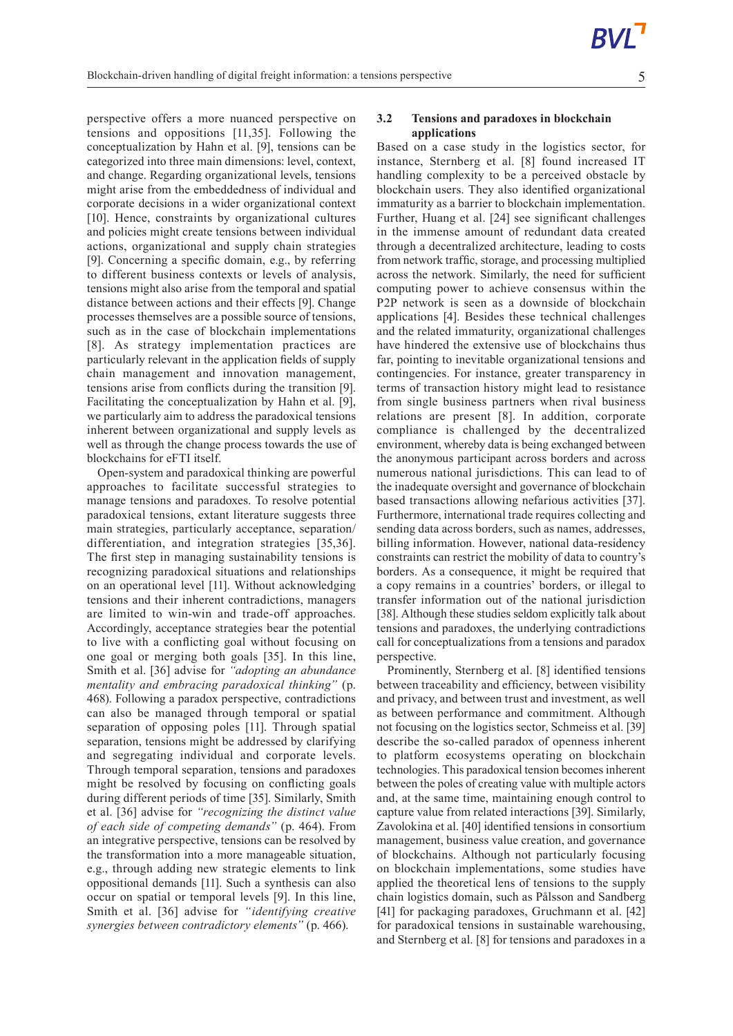perspective offers a more nuanced perspective on tensions and oppositions [11,35]. Following the conceptualization by Hahn et al. [9], tensions can be categorized into three main dimensions: level, context, and change. Regarding organizational levels, tensions might arise from the embeddedness of individual and corporate decisions in a wider organizational context [10]. Hence, constraints by organizational cultures and policies might create tensions between individual actions, organizational and supply chain strategies [9]. Concerning a specific domain, e.g., by referring to different business contexts or levels of analysis, tensions might also arise from the temporal and spatial distance between actions and their effects [9]. Change processes themselves are a possible source of tensions, such as in the case of blockchain implementations [8]. As strategy implementation practices are particularly relevant in the application fields of supply chain management and innovation management, tensions arise from conflicts during the transition [9]. Facilitating the conceptualization by Hahn et al. [9], we particularly aim to address the paradoxical tensions inherent between organizational and supply levels as well as through the change process towards the use of blockchains for eFTI itself.

Open-system and paradoxical thinking are powerful approaches to facilitate successful strategies to manage tensions and paradoxes. To resolve potential paradoxical tensions, extant literature suggests three main strategies, particularly acceptance, separation/ differentiation, and integration strategies [35,36]. The first step in managing sustainability tensions is recognizing paradoxical situations and relationships on an operational level [11]. Without acknowledging tensions and their inherent contradictions, managers are limited to win-win and trade-off approaches. Accordingly, acceptance strategies bear the potential to live with a conflicting goal without focusing on one goal or merging both goals [35]. In this line, Smith et al. [36] advise for *"adopting an abundance mentality and embracing paradoxical thinking"* (p. 468). Following a paradox perspective, contradictions can also be managed through temporal or spatial separation of opposing poles [11]. Through spatial separation, tensions might be addressed by clarifying and segregating individual and corporate levels. Through temporal separation, tensions and paradoxes might be resolved by focusing on conflicting goals during different periods of time [35]. Similarly, Smith et al. [36] advise for *"recognizing the distinct value of each side of competing demands"* (p. 464). From an integrative perspective, tensions can be resolved by the transformation into a more manageable situation, e.g., through adding new strategic elements to link oppositional demands [11]. Such a synthesis can also occur on spatial or temporal levels [9]. In this line, Smith et al. [36] advise for *"identifying creative synergies between contradictory elements"* (p. 466).

### **3.2 Tensions and paradoxes in blockchain applications**

Based on a case study in the logistics sector, for instance, Sternberg et al. [8] found increased IT handling complexity to be a perceived obstacle by blockchain users. They also identified organizational immaturity as a barrier to blockchain implementation. Further, Huang et al. [24] see significant challenges in the immense amount of redundant data created through a decentralized architecture, leading to costs from network traffic, storage, and processing multiplied across the network. Similarly, the need for sufficient computing power to achieve consensus within the P2P network is seen as a downside of blockchain applications [4]. Besides these technical challenges and the related immaturity, organizational challenges have hindered the extensive use of blockchains thus far, pointing to inevitable organizational tensions and contingencies. For instance, greater transparency in terms of transaction history might lead to resistance from single business partners when rival business relations are present [8]. In addition, corporate compliance is challenged by the decentralized environment, whereby data is being exchanged between the anonymous participant across borders and across numerous national jurisdictions. This can lead to of the inadequate oversight and governance of blockchain based transactions allowing nefarious activities [37]. Furthermore, international trade requires collecting and sending data across borders, such as names, addresses, billing information. However, national data-residency constraints can restrict the mobility of data to country's borders. As a consequence, it might be required that a copy remains in a countries' borders, or illegal to transfer information out of the national jurisdiction [38]. Although these studies seldom explicitly talk about tensions and paradoxes, the underlying contradictions call for conceptualizations from a tensions and paradox perspective.

Prominently, Sternberg et al. [8] identified tensions between traceability and efficiency, between visibility and privacy, and between trust and investment, as well as between performance and commitment. Although not focusing on the logistics sector, Schmeiss et al. [39] describe the so-called paradox of openness inherent to platform ecosystems operating on blockchain technologies. This paradoxical tension becomesinherent between the poles of creating value with multiple actors and, at the same time, maintaining enough control to capture value from related interactions [39]. Similarly, Zavolokina et al. [40] identified tensions in consortium management, business value creation, and governance of blockchains. Although not particularly focusing on blockchain implementations, some studies have applied the theoretical lens of tensions to the supply chain logistics domain, such as Pålsson and Sandberg [41] for packaging paradoxes, Gruchmann et al. [42] for paradoxical tensions in sustainable warehousing, and Sternberg et al. [8] for tensions and paradoxes in a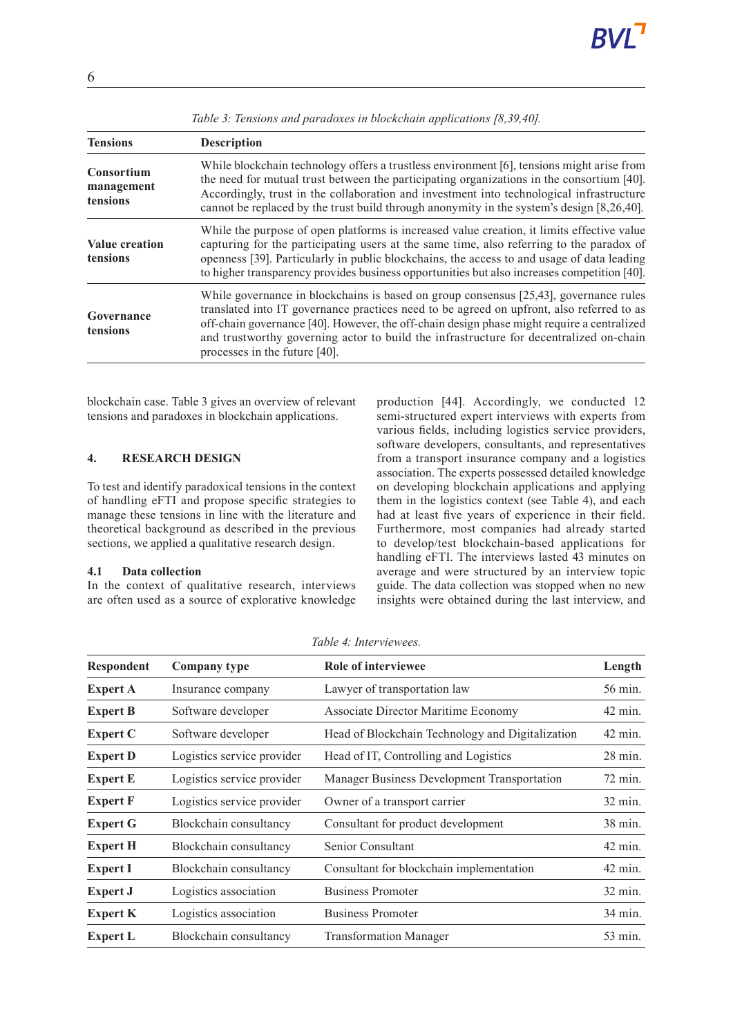| <b>Tensions</b>                             | <b>Description</b>                                                                                                                                                                                                                                                                                                                                                                                             |
|---------------------------------------------|----------------------------------------------------------------------------------------------------------------------------------------------------------------------------------------------------------------------------------------------------------------------------------------------------------------------------------------------------------------------------------------------------------------|
| <b>Consortium</b><br>management<br>tensions | While blockchain technology offers a trustless environment [6], tensions might arise from<br>the need for mutual trust between the participating organizations in the consortium [40].<br>Accordingly, trust in the collaboration and investment into technological infrastructure<br>cannot be replaced by the trust build through anonymity in the system's design [8,26,40].                                |
| <b>Value creation</b><br>tensions           | While the purpose of open platforms is increased value creation, it limits effective value<br>capturing for the participating users at the same time, also referring to the paradox of<br>openness [39]. Particularly in public blockchains, the access to and usage of data leading<br>to higher transparency provides business opportunities but also increases competition [40].                            |
| Governance<br>tensions                      | While governance in blockchains is based on group consensus $[25,43]$ , governance rules<br>translated into IT governance practices need to be agreed on upfront, also referred to as<br>off-chain governance [40]. However, the off-chain design phase might require a centralized<br>and trustworthy governing actor to build the infrastructure for decentralized on-chain<br>processes in the future [40]. |

*Table 3: Tensions and paradoxes in blockchain applications [8,39,40].*

blockchain case. Table 3 gives an overview of relevant tensions and paradoxes in blockchain applications.

# **4. RESEARCH DESIGN**

To test and identify paradoxical tensions in the context of handling eFTI and propose specific strategies to manage these tensions in line with the literature and theoretical background as described in the previous sections, we applied a qualitative research design.

#### **4.1 Data collection**

In the context of qualitative research, interviews are often used as a source of explorative knowledge production [44]. Accordingly, we conducted 12 semi-structured expert interviews with experts from various fields, including logistics service providers, software developers, consultants, and representatives from a transport insurance company and a logistics association. The experts possessed detailed knowledge on developing blockchain applications and applying them in the logistics context (see Table 4), and each had at least five years of experience in their field. Furthermore, most companies had already started to develop/test blockchain-based applications for handling eFTI. The interviews lasted 43 minutes on average and were structured by an interview topic guide. The data collection was stopped when no new insights were obtained during the last interview, and

| <b>Respondent</b> | <b>Company type</b>        | Role of interviewee                              | Length            |
|-------------------|----------------------------|--------------------------------------------------|-------------------|
| <b>Expert A</b>   | Insurance company          | Lawyer of transportation law                     | 56 min.           |
| <b>Expert B</b>   | Software developer         | Associate Director Maritime Economy              | $42 \text{ min.}$ |
| <b>Expert C</b>   | Software developer         | Head of Blockchain Technology and Digitalization | $42 \text{ min.}$ |
| <b>Expert D</b>   | Logistics service provider | Head of IT, Controlling and Logistics            | $28 \text{ min.}$ |
| <b>Expert E</b>   | Logistics service provider | Manager Business Development Transportation      | 72 min.           |
| <b>Expert F</b>   | Logistics service provider | Owner of a transport carrier                     | 32 min.           |
| <b>Expert G</b>   | Blockchain consultancy     | Consultant for product development               | 38 min.           |
| <b>Expert H</b>   | Blockchain consultancy     | Senior Consultant                                | $42 \text{ min.}$ |
| <b>Expert I</b>   | Blockchain consultancy     | Consultant for blockchain implementation         | $42 \text{ min.}$ |
| <b>Expert J</b>   | Logistics association      | <b>Business Promoter</b>                         | 32 min.           |
| <b>Expert K</b>   | Logistics association      | <b>Business Promoter</b>                         | 34 min.           |
| <b>Expert L</b>   | Blockchain consultancy     | <b>Transformation Manager</b>                    | 53 min.           |

*Table 4: Interviewees.*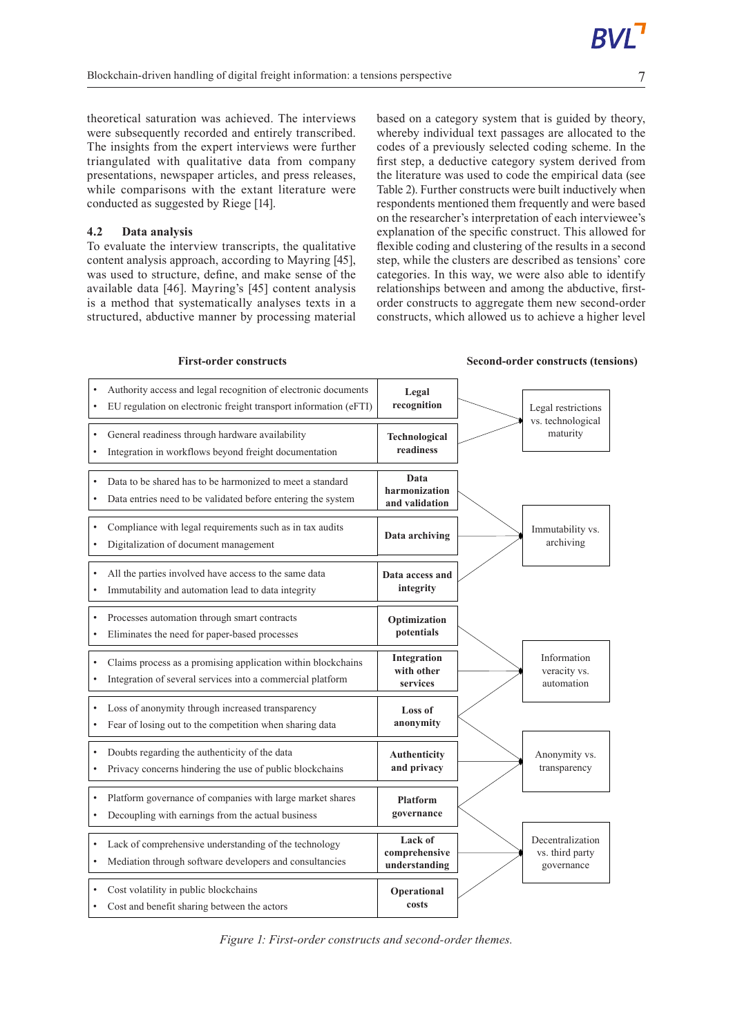theoretical saturation was achieved. The interviews were subsequently recorded and entirely transcribed. The insights from the expert interviews were further triangulated with qualitative data from company presentations, newspaper articles, and press releases, while comparisons with the extant literature were conducted as suggested by Riege [14].

# **4.2 Data analysis**

To evaluate the interview transcripts, the qualitative content analysis approach, according to Mayring [45], was used to structure, define, and make sense of the available data [46]. Mayring's [45] content analysis is a method that systematically analyses texts in a structured, abductive manner by processing material based on a category system that is guided by theory, whereby individual text passages are allocated to the codes of a previously selected coding scheme. In the first step, a deductive category system derived from the literature was used to code the empirical data (see Table 2). Further constructs were built inductively when respondents mentioned them frequently and were based on the researcher's interpretation of each interviewee's explanation of the specific construct. This allowed for flexible coding and clustering of the results in a second step, while the clusters are described as tensions' core categories. In this way, we were also able to identify relationships between and among the abductive, firstorder constructs to aggregate them new second-order constructs, which allowed us to achieve a higher level

• Authority access and legal recognition of electronic documents • EU regulation on electronic freight transport information (eFTI) **Legal recognition Technological readiness** General readiness through hardware availability Integration in workflows beyond freight documentation **Data harmonization and validation** • Data to be shared has to be harmonized to meet a standard Data entries need to be validated before entering the system Legal restrictions vs. technological maturity **Data access and integrity** All the parties involved have access to the same data Immutability and automation lead to data integrity Immutability vs. archiving **Data archiving** • Compliance with legal requirements such as in tax audits • Digitalization of document management **Integration with other services** • Claims process as a promising application within blockchains Integration of several services into a commercial platform **Optimization potentials** • Processes automation through smart contracts • Eliminates the need for paper-based processes Information veracity vs. automation **Loss of anonymity** Loss of anonymity through increased transparency Fear of losing out to the competition when sharing data **Authenticity and privacy** • Doubts regarding the authenticity of the data Privacy concerns hindering the use of public blockchains Anonymity vs. transparency **Platform governance** Platform governance of companies with large market shares • Decoupling with earnings from the actual business **Lack of comprehensive understanding** Lack of comprehensive understanding of the technology • Mediation through software developers and consultancies **Operational costs** Cost volatility in public blockchains Cost and benefit sharing between the actors Decentralization vs. third party governance

#### **First-order constructs Second-order constructs (tensions)**

*Figure 1: First-order constructs and second-order themes.*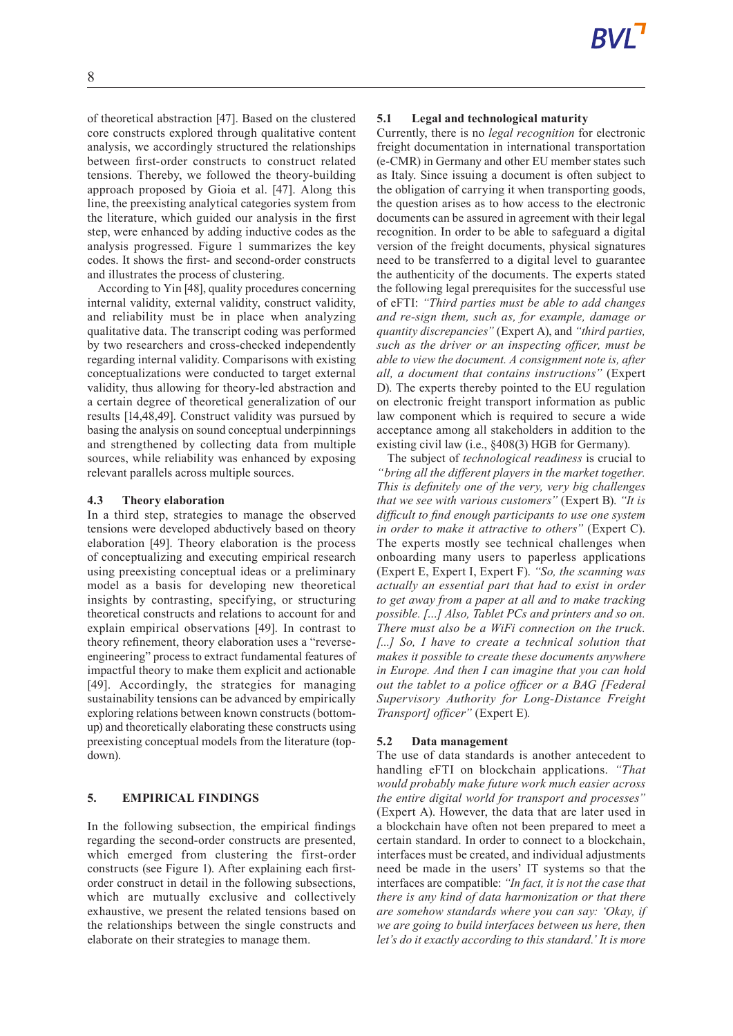of theoretical abstraction [47]. Based on the clustered core constructs explored through qualitative content analysis, we accordingly structured the relationships between first-order constructs to construct related tensions. Thereby, we followed the theory-building approach proposed by Gioia et al. [47]. Along this line, the preexisting analytical categories system from the literature, which guided our analysis in the first step, were enhanced by adding inductive codes as the analysis progressed. Figure 1 summarizes the key codes. It shows the first- and second-order constructs and illustrates the process of clustering.

According to Yin [48], quality procedures concerning internal validity, external validity, construct validity, and reliability must be in place when analyzing qualitative data. The transcript coding was performed by two researchers and cross-checked independently regarding internal validity. Comparisons with existing conceptualizations were conducted to target external validity, thus allowing for theory-led abstraction and a certain degree of theoretical generalization of our results [14,48,49]. Construct validity was pursued by basing the analysis on sound conceptual underpinnings and strengthened by collecting data from multiple sources, while reliability was enhanced by exposing relevant parallels across multiple sources.

#### **4.3 Theory elaboration**

In a third step, strategies to manage the observed tensions were developed abductively based on theory elaboration [49]. Theory elaboration is the process of conceptualizing and executing empirical research using preexisting conceptual ideas or a preliminary model as a basis for developing new theoretical insights by contrasting, specifying, or structuring theoretical constructs and relations to account for and explain empirical observations [49]. In contrast to theory refinement, theory elaboration uses a "reverseengineering" process to extract fundamental features of impactful theory to make them explicit and actionable [49]. Accordingly, the strategies for managing sustainability tensions can be advanced by empirically exploring relations between known constructs (bottomup) and theoretically elaborating these constructs using preexisting conceptual models from the literature (topdown).

#### **5. EMPIRICAL FINDINGS**

In the following subsection, the empirical findings regarding the second-order constructs are presented, which emerged from clustering the first-order constructs (see Figure 1). After explaining each firstorder construct in detail in the following subsections, which are mutually exclusive and collectively exhaustive, we present the related tensions based on the relationships between the single constructs and elaborate on their strategies to manage them.

# **5.1 Legal and technological maturity**

Currently, there is no *legal recognition* for electronic freight documentation in international transportation (e-CMR) in Germany and other EU member states such as Italy. Since issuing a document is often subject to the obligation of carrying it when transporting goods, the question arises as to how access to the electronic documents can be assured in agreement with their legal recognition. In order to be able to safeguard a digital version of the freight documents, physical signatures need to be transferred to a digital level to guarantee the authenticity of the documents. The experts stated the following legal prerequisites for the successful use of eFTI: *"Third parties must be able to add changes and re-sign them, such as, for example, damage or quantity discrepancies"* (Expert A), and *"third parties, such as the driver or an inspecting officer, must be able to view the document. A consignment note is, after all, a document that contains instructions"* (Expert D). The experts thereby pointed to the EU regulation on electronic freight transport information as public law component which is required to secure a wide acceptance among all stakeholders in addition to the existing civil law (i.e., §408(3) HGB for Germany).

The subject of *technological readiness* is crucial to *"bring all the different players in the market together. This is definitely one of the very, very big challenges that we see with various customers"* (Expert B). *"It is difficult to find enough participants to use one system in order to make it attractive to others"* (Expert C). The experts mostly see technical challenges when onboarding many users to paperless applications (Expert E, Expert I, Expert F). *"So, the scanning was actually an essential part that had to exist in order to get away from a paper at all and to make tracking possible. […] Also, Tablet PCs and printers and so on. There must also be a WiFi connection on the truck. [...] So, I have to create a technical solution that makes it possible to create these documents anywhere in Europe. And then I can imagine that you can hold out the tablet to a police officer or a BAG [Federal Supervisory Authority for Long-Distance Freight Transport] officer"* (Expert E)*.*

#### **5.2 Data management**

The use of data standards is another antecedent to handling eFTI on blockchain applications. *"That would probably make future work much easier across the entire digital world for transport and processes"* (Expert A). However, the data that are later used in a blockchain have often not been prepared to meet a certain standard. In order to connect to a blockchain, interfaces must be created, and individual adjustments need be made in the users' IT systems so that the interfaces are compatible: *"In fact, it is not the case that there is any kind of data harmonization or that there are somehow standards where you can say: 'Okay, if we are going to build interfaces between us here, then let's do it exactly according to this standard.' It is more*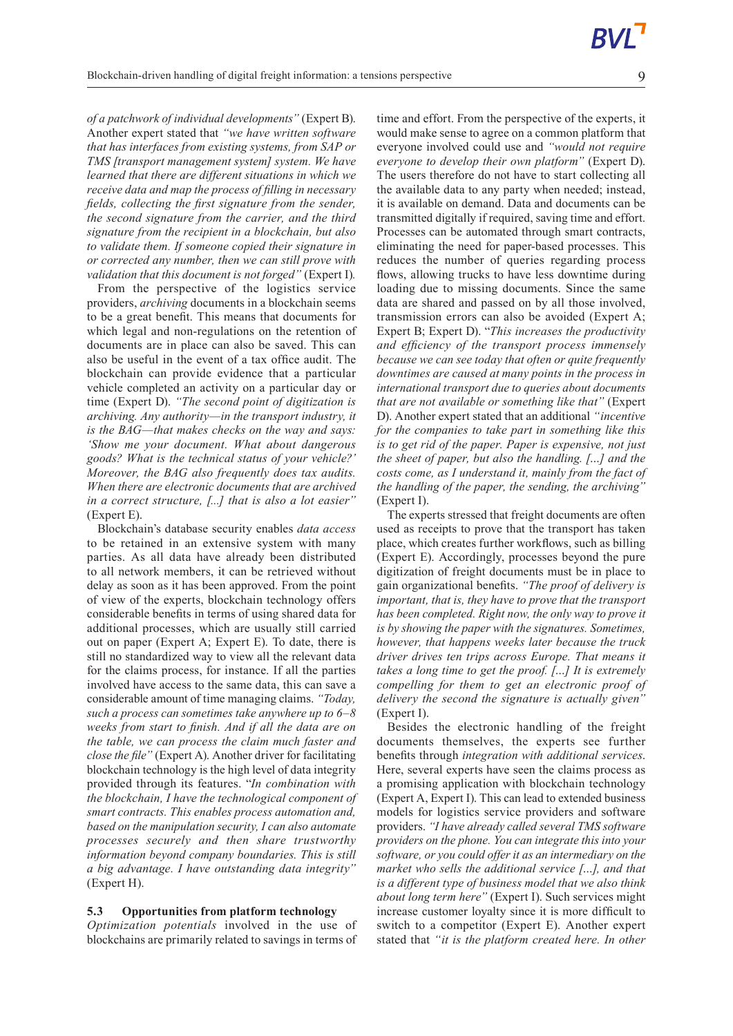*of a patchwork of individual developments"* (Expert B). Another expert stated that *"we have written software that has interfaces from existing systems, from SAP or TMS [transport management system] system. We have learned that there are different situations in which we receive data and map the process of filling in necessary fields, collecting the first signature from the sender, the second signature from the carrier, and the third signature from the recipient in a blockchain, but also to validate them. If someone copied their signature in or corrected any number, then we can still prove with validation that this document is not forged"* (Expert I)*.*

From the perspective of the logistics service providers, *archiving* documents in a blockchain seems to be a great benefit. This means that documents for which legal and non-regulations on the retention of documents are in place can also be saved. This can also be useful in the event of a tax office audit. The blockchain can provide evidence that a particular vehicle completed an activity on a particular day or time (Expert D). *"The second point of digitization is archiving. Any authority—in the transport industry, it is the BAG—that makes checks on the way and says: 'Show me your document. What about dangerous goods? What is the technical status of your vehicle?' Moreover, the BAG also frequently does tax audits. When there are electronic documents that are archived in a correct structure, [...] that is also a lot easier"* (Expert E).

Blockchain's database security enables *data access* to be retained in an extensive system with many parties. As all data have already been distributed to all network members, it can be retrieved without delay as soon as it has been approved. From the point of view of the experts, blockchain technology offers considerable benefits in terms of using shared data for additional processes, which are usually still carried out on paper (Expert A; Expert E). To date, there is still no standardized way to view all the relevant data for the claims process, for instance. If all the parties involved have access to the same data, this can save a considerable amount of time managing claims. *"Today, such a process can sometimes take anywhere up to 6–8 weeks from start to finish. And if all the data are on the table, we can process the claim much faster and close the file"* (Expert A). Another driver for facilitating blockchain technology is the high level of data integrity provided through its features. "*In combination with the blockchain, I have the technological component of smart contracts. This enables process automation and, based on the manipulation security, I can also automate processes securely and then share trustworthy information beyond company boundaries. This is still a big advantage. I have outstanding data integrity"* (Expert H).

#### **5.3 Opportunities from platform technology**

*Optimization potentials* involved in the use of blockchains are primarily related to savings in terms of time and effort. From the perspective of the experts, it would make sense to agree on a common platform that everyone involved could use and *"would not require everyone to develop their own platform"* (Expert D). The users therefore do not have to start collecting all the available data to any party when needed; instead, it is available on demand. Data and documents can be transmitted digitally if required, saving time and effort. Processes can be automated through smart contracts, eliminating the need for paper-based processes. This reduces the number of queries regarding process flows, allowing trucks to have less downtime during loading due to missing documents. Since the same data are shared and passed on by all those involved, transmission errors can also be avoided (Expert A; Expert B; Expert D). "*This increases the productivity and efficiency of the transport process immensely because we can see today that often or quite frequently downtimes are caused at many points in the process in international transport due to queries about documents that are not available or something like that"* (Expert D). Another expert stated that an additional *"incentive for the companies to take part in something like this is to get rid of the paper. Paper is expensive, not just the sheet of paper, but also the handling. […] and the costs come, as I understand it, mainly from the fact of the handling of the paper, the sending, the archiving"* (Expert I).

The experts stressed that freight documents are often used as receipts to prove that the transport has taken place, which creates further workflows, such as billing (Expert E). Accordingly, processes beyond the pure digitization of freight documents must be in place to gain organizational benefits. *"The proof of delivery is important, that is, they have to prove that the transport has been completed. Right now, the only way to prove it is by showing the paper with the signatures. Sometimes, however, that happens weeks later because the truck driver drives ten trips across Europe. That means it takes a long time to get the proof. […] It is extremely compelling for them to get an electronic proof of delivery the second the signature is actually given"* (Expert I).

Besides the electronic handling of the freight documents themselves, the experts see further benefits through *integration with additional services*. Here, several experts have seen the claims process as a promising application with blockchain technology (Expert A, Expert I). This can lead to extended business models for logistics service providers and software providers. *"I have already called several TMS software providers on the phone. You can integrate this into your software, or you could offer it as an intermediary on the market who sells the additional service […], and that is a different type of business model that we also think about long term here"* (Expert I). Such services might increase customer loyalty since it is more difficult to switch to a competitor (Expert E). Another expert stated that *"it is the platform created here. In other*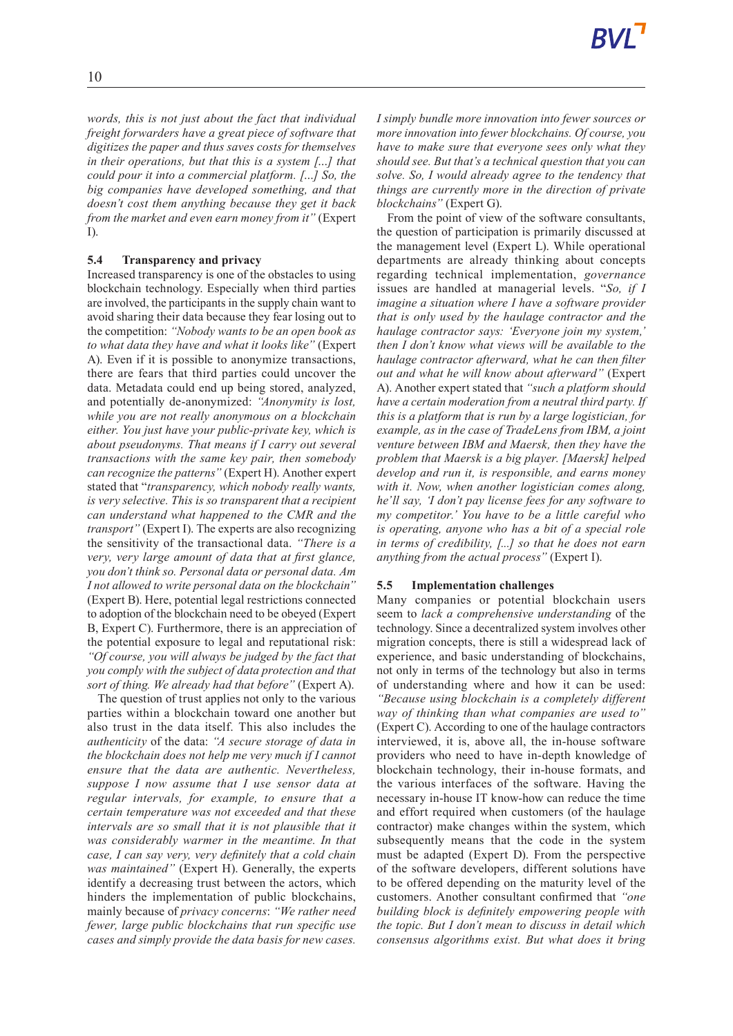*words, this is not just about the fact that individual freight forwarders have a great piece of software that digitizes the paper and thus saves costs for themselves in their operations, but that this is a system […] that could pour it into a commercial platform. […] So, the big companies have developed something, and that doesn't cost them anything because they get it back from the market and even earn money from it"* (Expert I).

# **5.4 Transparency and privacy**

Increased transparency is one of the obstacles to using blockchain technology. Especially when third parties are involved, the participants in the supply chain want to avoid sharing their data because they fear losing out to the competition: *"Nobody wants to be an open book as to what data they have and what it looks like"* (Expert A). Even if it is possible to anonymize transactions, there are fears that third parties could uncover the data. Metadata could end up being stored, analyzed, and potentially de-anonymized: *"Anonymity is lost, while you are not really anonymous on a blockchain either. You just have your public-private key, which is about pseudonyms. That means if I carry out several transactions with the same key pair, then somebody can recognize the patterns"* (Expert H). Another expert stated that "*transparency, which nobody really wants, is very selective. This is so transparent that a recipient can understand what happened to the CMR and the transport"* (Expert I). The experts are also recognizing the sensitivity of the transactional data. *"There is a very, very large amount of data that at first glance, you don't think so. Personal data or personal data. Am I not allowed to write personal data on the blockchain"* (Expert B). Here, potential legal restrictions connected to adoption of the blockchain need to be obeyed (Expert B, Expert C). Furthermore, there is an appreciation of the potential exposure to legal and reputational risk: *"Of course, you will always be judged by the fact that you comply with the subject of data protection and that sort of thing. We already had that before"* (Expert A).

The question of trust applies not only to the various parties within a blockchain toward one another but also trust in the data itself. This also includes the *authenticity* of the data: *"A secure storage of data in the blockchain does not help me very much if I cannot ensure that the data are authentic. Nevertheless, suppose I now assume that I use sensor data at regular intervals, for example, to ensure that a certain temperature was not exceeded and that these intervals are so small that it is not plausible that it was considerably warmer in the meantime. In that case, I can say very, very definitely that a cold chain was maintained"* (Expert H). Generally, the experts identify a decreasing trust between the actors, which hinders the implementation of public blockchains, mainly because of *privacy concerns*: *"We rather need fewer, large public blockchains that run specific use cases and simply provide the data basis for new cases.*

*I simply bundle more innovation into fewer sources or more innovation into fewer blockchains. Of course, you have to make sure that everyone sees only what they should see. But that's a technical question that you can solve. So, I would already agree to the tendency that things are currently more in the direction of private blockchains"* (Expert G).

From the point of view of the software consultants, the question of participation is primarily discussed at the management level (Expert L). While operational departments are already thinking about concepts regarding technical implementation, *governance* issues are handled at managerial levels. "*So, if I imagine a situation where I have a software provider that is only used by the haulage contractor and the haulage contractor says: 'Everyone join my system,' then I don't know what views will be available to the haulage contractor afterward, what he can then filter out and what he will know about afterward"* (Expert A). Another expert stated that *"such a platform should have a certain moderation from a neutral third party. If this is a platform that is run by a large logistician, for example, as in the case of TradeLens from IBM, a joint venture between IBM and Maersk, then they have the problem that Maersk is a big player. [Maersk] helped develop and run it, is responsible, and earns money with it. Now, when another logistician comes along, he'll say, 'I don't pay license fees for any software to my competitor.' You have to be a little careful who is operating, anyone who has a bit of a special role in terms of credibility, [...] so that he does not earn anything from the actual process"* (Expert I).

### **5.5 Implementation challenges**

Many companies or potential blockchain users seem to *lack a comprehensive understanding* of the technology. Since a decentralized system involves other migration concepts, there is still a widespread lack of experience, and basic understanding of blockchains, not only in terms of the technology but also in terms of understanding where and how it can be used: *"Because using blockchain is a completely different way of thinking than what companies are used to"* (Expert C). According to one of the haulage contractors interviewed, it is, above all, the in-house software providers who need to have in-depth knowledge of blockchain technology, their in-house formats, and the various interfaces of the software. Having the necessary in-house IT know-how can reduce the time and effort required when customers (of the haulage contractor) make changes within the system, which subsequently means that the code in the system must be adapted (Expert D). From the perspective of the software developers, different solutions have to be offered depending on the maturity level of the customers. Another consultant confirmed that *"one building block is definitely empowering people with the topic. But I don't mean to discuss in detail which consensus algorithms exist. But what does it bring*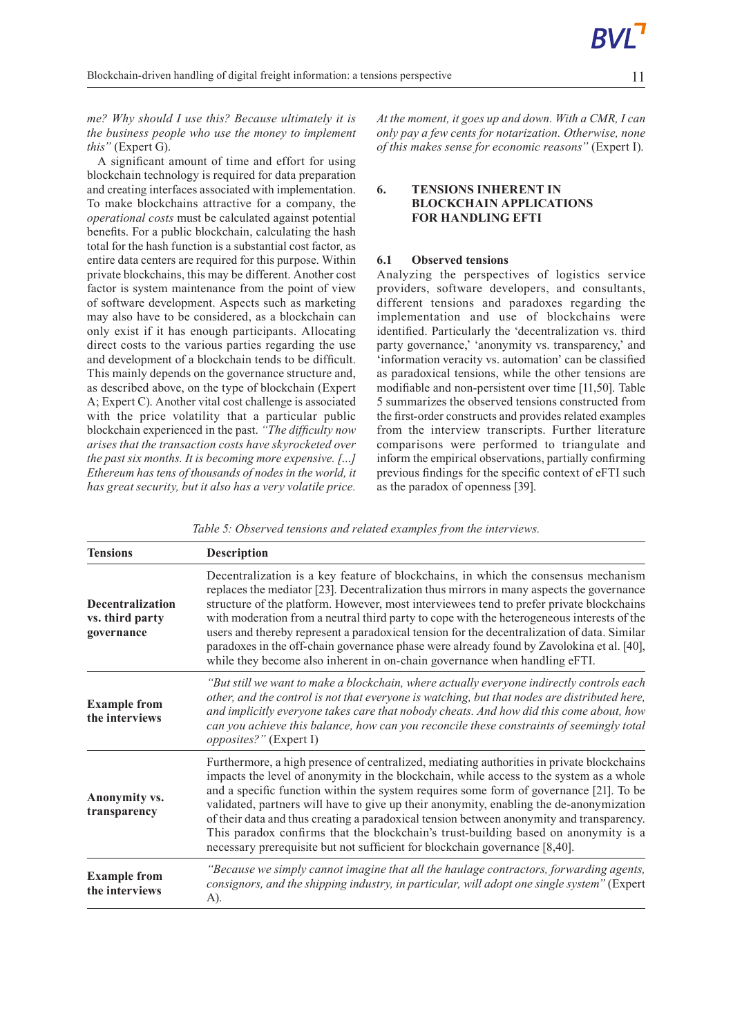*me? Why should I use this? Because ultimately it is the business people who use the money to implement this"* (Expert G).

A significant amount of time and effort for using blockchain technology is required for data preparation and creating interfaces associated with implementation. To make blockchains attractive for a company, the *operational costs* must be calculated against potential benefits. For a public blockchain, calculating the hash total for the hash function is a substantial cost factor, as entire data centers are required for this purpose. Within private blockchains, this may be different. Another cost factor is system maintenance from the point of view of software development. Aspects such as marketing may also have to be considered, as a blockchain can only exist if it has enough participants. Allocating direct costs to the various parties regarding the use and development of a blockchain tends to be difficult. This mainly depends on the governance structure and, as described above, on the type of blockchain (Expert A; Expert C). Another vital cost challenge is associated with the price volatility that a particular public blockchain experienced in the past. *"The difficulty now arises that the transaction costs have skyrocketed over the past six months. It is becoming more expensive. […] Ethereum has tens of thousands of nodes in the world, it has great security, but it also has a very volatile price.* *At the moment, it goes up and down. With a CMR, I can only pay a few cents for notarization. Otherwise, none of this makes sense for economic reasons"* (Expert I).

### **6. TENSIONS INHERENT IN BLOCKCHAIN APPLICATIONS FOR HANDLING EFTI**

### **6.1 Observed tensions**

Analyzing the perspectives of logistics service providers, software developers, and consultants, different tensions and paradoxes regarding the implementation and use of blockchains were identified. Particularly the 'decentralization vs. third party governance,' 'anonymity vs. transparency,' and 'information veracity vs. automation' can be classified as paradoxical tensions, while the other tensions are modifiable and non-persistent over time [11,50]. Table 5 summarizes the observed tensions constructed from the first-order constructs and provides related examples from the interview transcripts. Further literature comparisons were performed to triangulate and inform the empirical observations, partially confirming previous findings for the specific context of eFTI such as the paradox of openness [39].

| Table 5: Observed tensions and related examples from the interviews. |  |  |  |
|----------------------------------------------------------------------|--|--|--|
|----------------------------------------------------------------------|--|--|--|

| <b>Tensions</b>                                          | Description                                                                                                                                                                                                                                                                                                                                                                                                                                                                                                                                                                                                                                        |
|----------------------------------------------------------|----------------------------------------------------------------------------------------------------------------------------------------------------------------------------------------------------------------------------------------------------------------------------------------------------------------------------------------------------------------------------------------------------------------------------------------------------------------------------------------------------------------------------------------------------------------------------------------------------------------------------------------------------|
| <b>Decentralization</b><br>vs. third party<br>governance | Decentralization is a key feature of blockchains, in which the consensus mechanism<br>replaces the mediator [23]. Decentralization thus mirrors in many aspects the governance<br>structure of the platform. However, most interviewees tend to prefer private blockchains<br>with moderation from a neutral third party to cope with the heterogeneous interests of the<br>users and thereby represent a paradoxical tension for the decentralization of data. Similar<br>paradoxes in the off-chain governance phase were already found by Zavolokina et al. [40],<br>while they become also inherent in on-chain governance when handling eFTI. |
| <b>Example from</b><br>the interviews                    | "But still we want to make a blockchain, where actually everyone indirectly controls each<br>other, and the control is not that everyone is watching, but that nodes are distributed here,<br>and implicitly everyone takes care that nobody cheats. And how did this come about, how<br>can you achieve this balance, how can you reconcile these constraints of seemingly total<br><i>opposites?"</i> (Expert I)                                                                                                                                                                                                                                 |
| Anonymity vs.<br>transparency                            | Furthermore, a high presence of centralized, mediating authorities in private blockchains<br>impacts the level of anonymity in the blockchain, while access to the system as a whole<br>and a specific function within the system requires some form of governance [21]. To be<br>validated, partners will have to give up their anonymity, enabling the de-anonymization<br>of their data and thus creating a paradoxical tension between anonymity and transparency.<br>This paradox confirms that the blockchain's trust-building based on anonymity is a<br>necessary prerequisite but not sufficient for blockchain governance [8,40].        |
| <b>Example from</b><br>the interviews                    | "Because we simply cannot imagine that all the haulage contractors, forwarding agents,<br>consignors, and the shipping industry, in particular, will adopt one single system" (Expert<br>A).                                                                                                                                                                                                                                                                                                                                                                                                                                                       |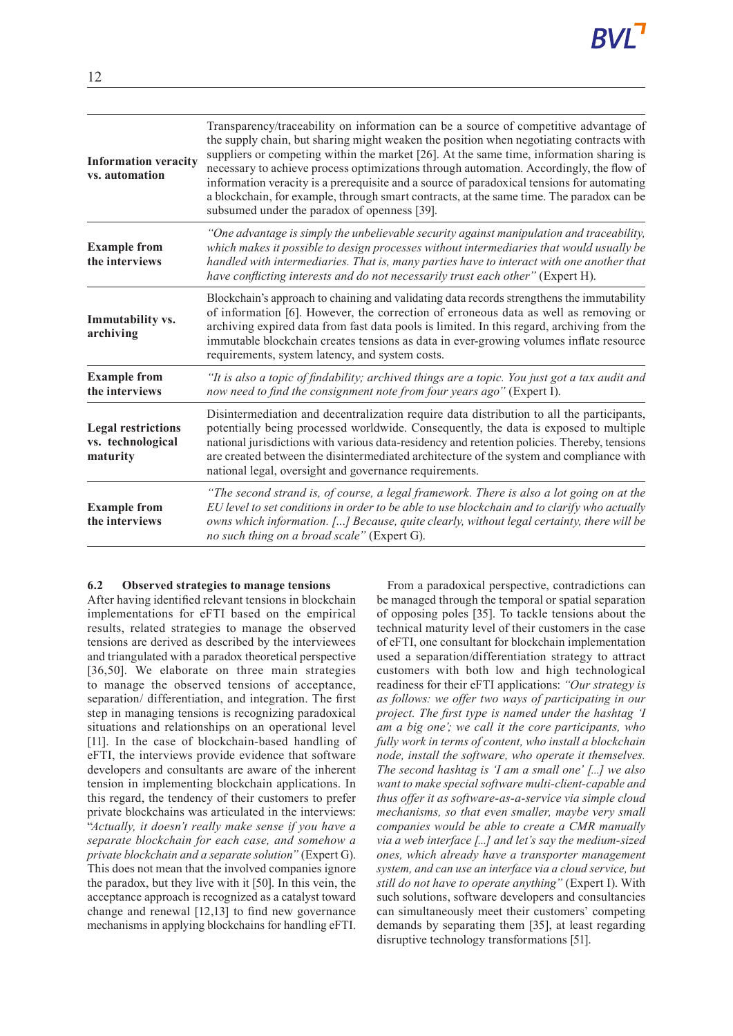| <b>Information veracity</b><br>vs. automation              | Transparency/traceability on information can be a source of competitive advantage of<br>the supply chain, but sharing might weaken the position when negotiating contracts with<br>suppliers or competing within the market [26]. At the same time, information sharing is<br>necessary to achieve process optimizations through automation. Accordingly, the flow of<br>information veracity is a prerequisite and a source of paradoxical tensions for automating<br>a blockchain, for example, through smart contracts, at the same time. The paradox can be<br>subsumed under the paradox of openness [39]. |
|------------------------------------------------------------|-----------------------------------------------------------------------------------------------------------------------------------------------------------------------------------------------------------------------------------------------------------------------------------------------------------------------------------------------------------------------------------------------------------------------------------------------------------------------------------------------------------------------------------------------------------------------------------------------------------------|
| <b>Example from</b><br>the interviews                      | "One advantage is simply the unbelievable security against manipulation and traceability,<br>which makes it possible to design processes without intermediaries that would usually be<br>handled with intermediaries. That is, many parties have to interact with one another that<br>have conflicting interests and do not necessarily trust each other" (Expert H).                                                                                                                                                                                                                                           |
| Immutability vs.<br>archiving                              | Blockchain's approach to chaining and validating data records strengthens the immutability<br>of information [6]. However, the correction of erroneous data as well as removing or<br>archiving expired data from fast data pools is limited. In this regard, archiving from the<br>immutable blockchain creates tensions as data in ever-growing volumes inflate resource<br>requirements, system latency, and system costs.                                                                                                                                                                                   |
| <b>Example from</b><br>the interviews                      | "It is also a topic of findability; archived things are a topic. You just got a tax audit and<br>now need to find the consignment note from four years ago" (Expert I).                                                                                                                                                                                                                                                                                                                                                                                                                                         |
| <b>Legal restrictions</b><br>vs. technological<br>maturity | Disintermediation and decentralization require data distribution to all the participants,<br>potentially being processed worldwide. Consequently, the data is exposed to multiple<br>national jurisdictions with various data-residency and retention policies. Thereby, tensions<br>are created between the disintermediated architecture of the system and compliance with<br>national legal, oversight and governance requirements.                                                                                                                                                                          |
| <b>Example from</b><br>the interviews                      | "The second strand is, of course, a legal framework. There is also a lot going on at the<br>EU level to set conditions in order to be able to use blockchain and to clarify who actually<br>owns which information. [] Because, quite clearly, without legal certainty, there will be<br>no such thing on a broad scale" (Expert G).                                                                                                                                                                                                                                                                            |

#### **6.2 Observed strategies to manage tensions**

After having identified relevant tensions in blockchain implementations for eFTI based on the empirical results, related strategies to manage the observed tensions are derived as described by the interviewees and triangulated with a paradox theoretical perspective [36,50]. We elaborate on three main strategies to manage the observed tensions of acceptance, separation/ differentiation, and integration. The first step in managing tensions is recognizing paradoxical situations and relationships on an operational level [11]. In the case of blockchain-based handling of eFTI, the interviews provide evidence that software developers and consultants are aware of the inherent tension in implementing blockchain applications. In this regard, the tendency of their customers to prefer private blockchains was articulated in the interviews: "*Actually, it doesn't really make sense if you have a separate blockchain for each case, and somehow a private blockchain and a separate solution"* (Expert G). This does not mean that the involved companies ignore the paradox, but they live with it [50]. In this vein, the acceptance approach is recognized as a catalyst toward change and renewal [12,13] to find new governance mechanisms in applying blockchains for handling eFTI.

From a paradoxical perspective, contradictions can be managed through the temporal or spatial separation of opposing poles [35]. To tackle tensions about the technical maturity level of their customers in the case of eFTI, one consultant for blockchain implementation used a separation/differentiation strategy to attract customers with both low and high technological readiness for their eFTI applications: *"Our strategy is as follows: we offer two ways of participating in our project. The first type is named under the hashtag 'I am a big one'; we call it the core participants, who fully work in terms of content, who install a blockchain node, install the software, who operate it themselves. The second hashtag is 'I am a small one' [...] we also want to make special software multi-client-capable and thus offer it as software-as-a-service via simple cloud mechanisms, so that even smaller, maybe very small companies would be able to create a CMR manually via a web interface [...] and let's say the medium-sized ones, which already have a transporter management system, and can use an interface via a cloud service, but still do not have to operate anything"* (Expert I). With such solutions, software developers and consultancies can simultaneously meet their customers' competing demands by separating them [35], at least regarding disruptive technology transformations [51].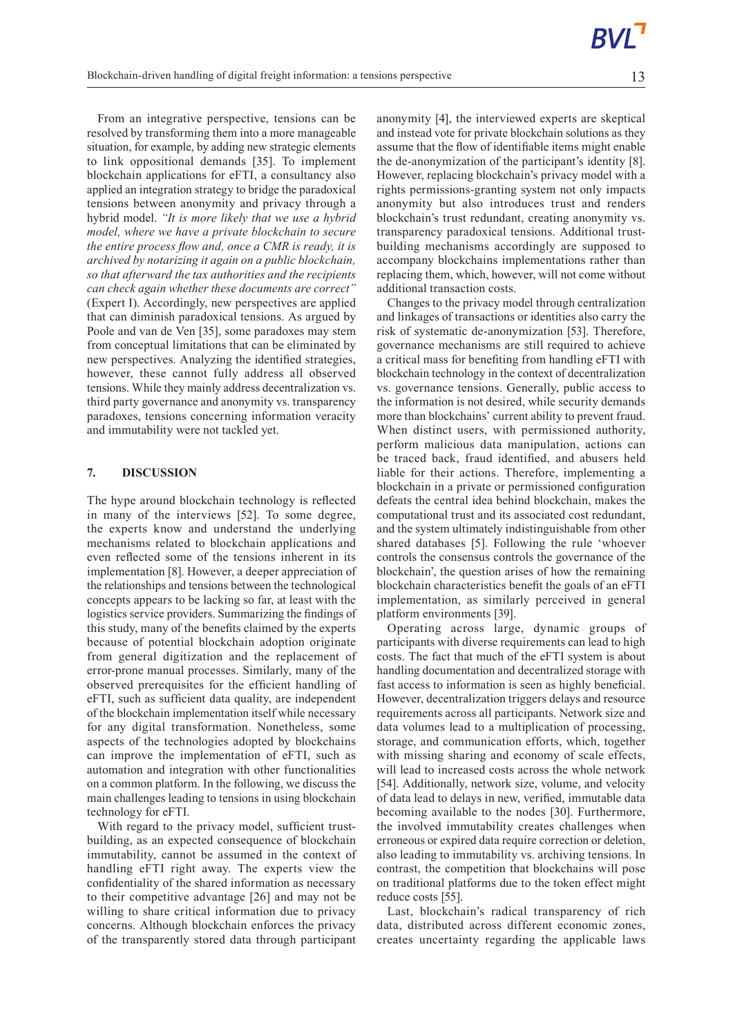From an integrative perspective, tensions can be resolved by transforming them into a more manageable situation, for example, by adding new strategic elements to link oppositional demands [35]. To implement blockchain applications for eFTI, a consultancy also applied an integration strategy to bridge the paradoxical tensions between anonymity and privacy through a hybrid model. *"It is more likely that we use a hybrid model, where we have a private blockchain to secure the entire process flow and, once a CMR is ready, it is archived by notarizing it again on a public blockchain, so that afterward the tax authorities and the recipients can check again whether these documents are correct"* (Expert I). Accordingly, new perspectives are applied that can diminish paradoxical tensions. As argued by Poole and van de Ven [35], some paradoxes may stem from conceptual limitations that can be eliminated by new perspectives. Analyzing the identified strategies, however, these cannot fully address all observed tensions. While they mainly address decentralization vs. third party governance and anonymity vs. transparency paradoxes, tensions concerning information veracity and immutability were not tackled yet.

#### **7. DISCUSSION**

The hype around blockchain technology is reflected in many of the interviews [52]. To some degree, the experts know and understand the underlying mechanisms related to blockchain applications and even reflected some of the tensions inherent in its implementation [8]. However, a deeper appreciation of the relationships and tensions between the technological concepts appears to be lacking so far, at least with the logistics service providers. Summarizing the findings of this study, many of the benefits claimed by the experts because of potential blockchain adoption originate from general digitization and the replacement of error-prone manual processes. Similarly, many of the observed prerequisites for the efficient handling of eFTI, such as sufficient data quality, are independent of the blockchain implementation itself while necessary for any digital transformation. Nonetheless, some aspects of the technologies adopted by blockchains can improve the implementation of eFTI, such as automation and integration with other functionalities on a common platform. In the following, we discuss the main challenges leading to tensions in using blockchain technology for eFTI.

With regard to the privacy model, sufficient trustbuilding, as an expected consequence of blockchain immutability, cannot be assumed in the context of handling eFTI right away. The experts view the confidentiality of the shared information as necessary to their competitive advantage [26] and may not be willing to share critical information due to privacy concerns. Although blockchain enforces the privacy of the transparently stored data through participant

anonymity [4], the interviewed experts are skeptical and instead vote for private blockchain solutions as they assume that the flow of identifiable items might enable the de-anonymization of the participant's identity [8]. However, replacing blockchain's privacy model with a rights permissions-granting system not only impacts anonymity but also introduces trust and renders blockchain's trust redundant, creating anonymity vs. transparency paradoxical tensions. Additional trustbuilding mechanisms accordingly are supposed to accompany blockchains implementations rather than replacing them, which, however, will not come without additional transaction costs.

Changes to the privacy model through centralization and linkages of transactions or identities also carry the risk of systematic de-anonymization [53]. Therefore, governance mechanisms are still required to achieve a critical mass for benefiting from handling eFTI with blockchain technology in the context of decentralization vs. governance tensions. Generally, public access to the information is not desired, while security demands more than blockchains' current ability to prevent fraud. When distinct users, with permissioned authority, perform malicious data manipulation, actions can be traced back, fraud identified, and abusers held liable for their actions. Therefore, implementing a blockchain in a private or permissioned configuration defeats the central idea behind blockchain, makes the computational trust and its associated cost redundant, and the system ultimately indistinguishable from other shared databases [5]. Following the rule 'whoever controls the consensus controls the governance of the blockchain', the question arises of how the remaining blockchain characteristics benefit the goals of an eFTI implementation, as similarly perceived in general platform environments [39].

Operating across large, dynamic groups of participants with diverse requirements can lead to high costs. The fact that much of the eFTI system is about handling documentation and decentralized storage with fast access to information is seen as highly beneficial. However, decentralization triggers delays and resource requirements across all participants. Network size and data volumes lead to a multiplication of processing, storage, and communication efforts, which, together with missing sharing and economy of scale effects, will lead to increased costs across the whole network [54]. Additionally, network size, volume, and velocity of data lead to delays in new, verified, immutable data becoming available to the nodes [30]. Furthermore, the involved immutability creates challenges when erroneous or expired data require correction or deletion, also leading to immutability vs. archiving tensions. In contrast, the competition that blockchains will pose on traditional platforms due to the token effect might reduce costs [55].

Last, blockchain's radical transparency of rich data, distributed across different economic zones, creates uncertainty regarding the applicable laws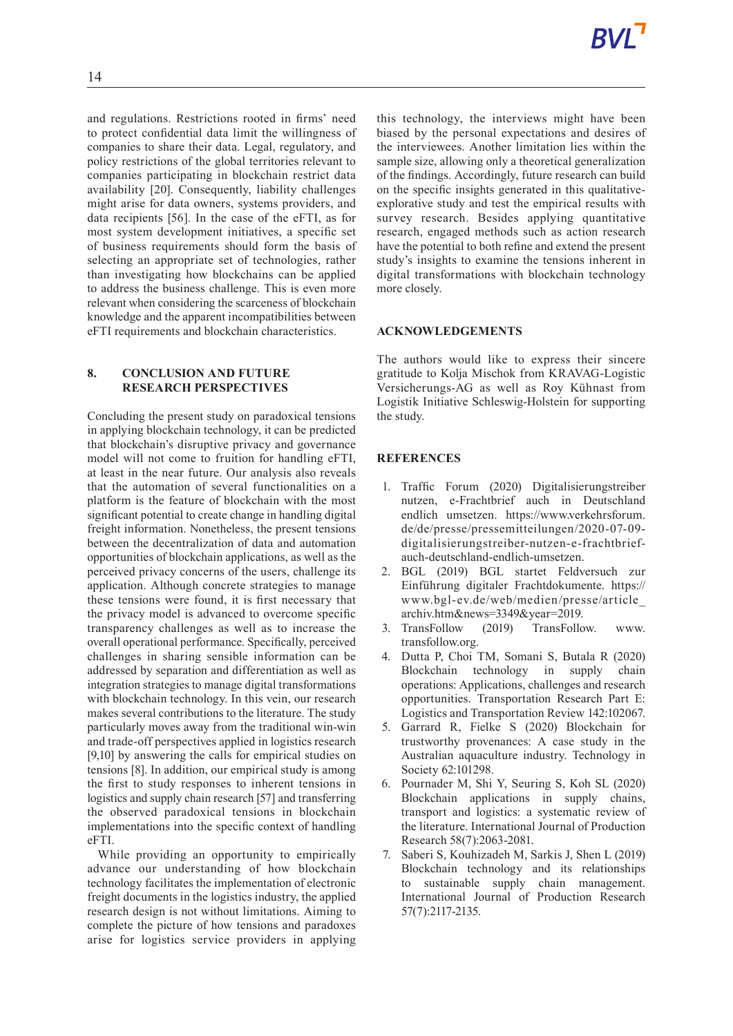and regulations. Restrictions rooted in firms' need to protect confidential data limit the willingness of companies to share their data. Legal, regulatory, and policy restrictions of the global territories relevant to companies participating in blockchain restrict data availability [20]. Consequently, liability challenges might arise for data owners, systems providers, and data recipients [56]. In the case of the eFTI, as for most system development initiatives, a specific set of business requirements should form the basis of selecting an appropriate set of technologies, rather than investigating how blockchains can be applied to address the business challenge. This is even more relevant when considering the scarceness of blockchain knowledge and the apparent incompatibilities between eFTI requirements and blockchain characteristics.

# **8. CONCLUSION AND FUTURE RESEARCH PERSPECTIVES**

Concluding the present study on paradoxical tensions in applying blockchain technology, it can be predicted that blockchain's disruptive privacy and governance model will not come to fruition for handling eFTI, at least in the near future. Our analysis also reveals that the automation of several functionalities on a platform is the feature of blockchain with the most significant potential to create change in handling digital freight information. Nonetheless, the present tensions between the decentralization of data and automation opportunities of blockchain applications, as well as the perceived privacy concerns of the users, challenge its application. Although concrete strategies to manage these tensions were found, it is first necessary that the privacy model is advanced to overcome specific transparency challenges as well as to increase the overall operational performance. Specifically, perceived challenges in sharing sensible information can be addressed by separation and differentiation as well as integration strategies to manage digital transformations with blockchain technology. In this vein, our research makes several contributions to the literature. The study particularly moves away from the traditional win-win and trade-off perspectives applied in logistics research [9,10] by answering the calls for empirical studies on tensions [8]. In addition, our empirical study is among the first to study responses to inherent tensions in logistics and supply chain research [57] and transferring the observed paradoxical tensions in blockchain implementations into the specific context of handling eFTI.

While providing an opportunity to empirically advance our understanding of how blockchain technology facilitates the implementation of electronic freight documents in the logistics industry, the applied research design is not without limitations. Aiming to complete the picture of how tensions and paradoxes arise for logistics service providers in applying this technology, the interviews might have been biased by the personal expectations and desires of the interviewees. Another limitation lies within the sample size, allowing only a theoretical generalization of the findings. Accordingly, future research can build on the specific insights generated in this qualitativeexplorative study and test the empirical results with survey research. Besides applying quantitative research, engaged methods such as action research have the potential to both refine and extend the present study's insights to examine the tensions inherent in digital transformations with blockchain technology more closely.

# **ACKNOWLEDGEMENTS**

The authors would like to express their sincere gratitude to Kolja Mischok from KRAVAG-Logistic Versicherungs-AG as well as Roy Kühnast from Logistik Initiative Schleswig-Holstein for supporting the study.

# **REFERENCES**

- 1. Traffic Forum (2020) Digitalisierungstreiber nutzen, e-Frachtbrief auch in Deutschland endlich umsetzen. https://www.verkehrsforum. de/de/presse/pressemitteilungen/2020-07-09 digitalisierungstreiber-nutzen-e-frachtbriefauch-deutschland-endlich-umsetzen.
- 2. BGL (2019) BGL startet Feldversuch zur Einführung digitaler Frachtdokumente. https:// www.bgl-ev.de/web/medien/presse/article\_ archiv.htm&news=3349&year=2019.
- 3. TransFollow (2019) TransFollow. www. transfollow.org.
- 4. Dutta P, Choi TM, Somani S, Butala R (2020) Blockchain technology in supply chain operations: Applications, challenges and research opportunities. Transportation Research Part E: Logistics and Transportation Review 142:102067.
- 5. Garrard R, Fielke S (2020) Blockchain for trustworthy provenances: A case study in the Australian aquaculture industry. Technology in Society 62:101298.
- 6. Pournader M, Shi Y, Seuring S, Koh SL (2020) Blockchain applications in supply chains, transport and logistics: a systematic review of the literature. International Journal of Production Research 58(7):2063-2081.
- 7. Saberi S, Kouhizadeh M, Sarkis J, Shen L (2019) Blockchain technology and its relationships to sustainable supply chain management. International Journal of Production Research 57(7):2117-2135.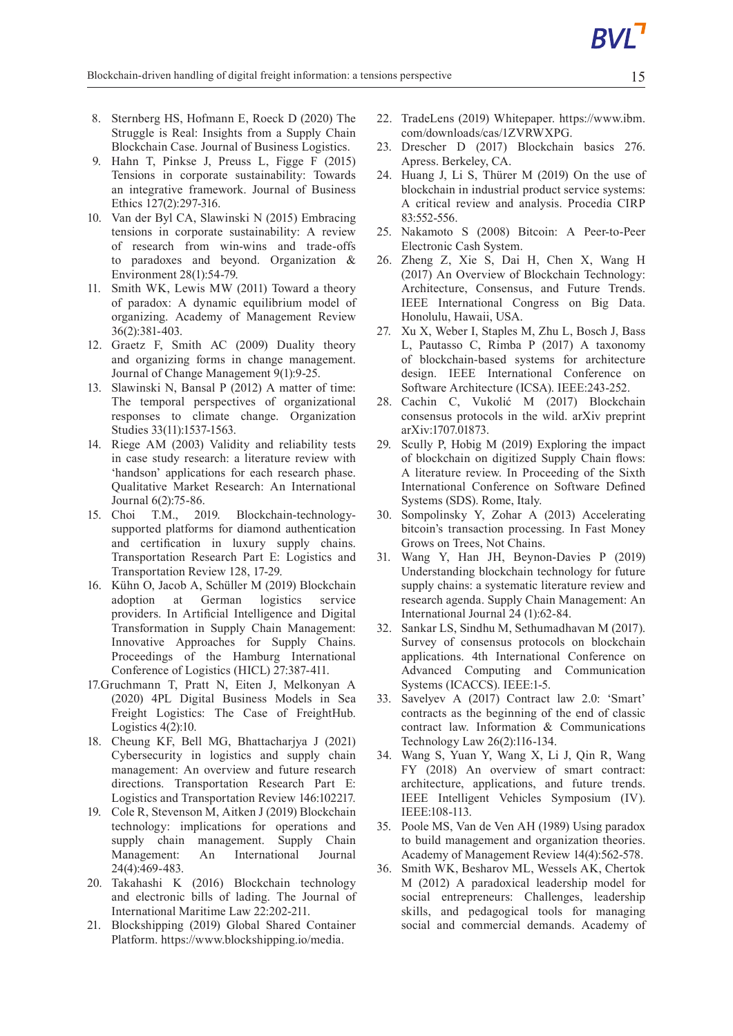- 8. Sternberg HS, Hofmann E, Roeck D (2020) The Struggle is Real: Insights from a Supply Chain Blockchain Case. Journal of Business Logistics.
- 9. Hahn T, Pinkse J, Preuss L, Figge F (2015) Tensions in corporate sustainability: Towards an integrative framework. Journal of Business Ethics 127(2):297-316.
- 10. Van der Byl CA, Slawinski N (2015) Embracing tensions in corporate sustainability: A review of research from win-wins and trade-offs to paradoxes and beyond. Organization & Environment 28(1):54-79.
- 11. Smith WK, Lewis MW (2011) Toward a theory of paradox: A dynamic equilibrium model of organizing. Academy of Management Review 36(2):381-403.
- 12. Graetz F, Smith AC (2009) Duality theory and organizing forms in change management. Journal of Change Management 9(1):9-25.
- 13. Slawinski N, Bansal P (2012) A matter of time: The temporal perspectives of organizational responses to climate change. Organization Studies 33(11):1537-1563.
- 14. Riege AM (2003) Validity and reliability tests in case study research: a literature review with 'handson' applications for each research phase. Qualitative Market Research: An International Journal 6(2):75-86.
- 15. Choi T.M., 2019. Blockchain-technologysupported platforms for diamond authentication and certification in luxury supply chains. Transportation Research Part E: Logistics and Transportation Review 128, 17-29.
- 16. Kühn O, Jacob A, Schüller M (2019) Blockchain adoption at German logistics service providers. In Artificial Intelligence and Digital Transformation in Supply Chain Management: Innovative Approaches for Supply Chains. Proceedings of the Hamburg International Conference of Logistics (HICL) 27:387-411.
- 17.Gruchmann T, Pratt N, Eiten J, Melkonyan A (2020) 4PL Digital Business Models in Sea Freight Logistics: The Case of FreightHub. Logistics  $4(2)$ :10.
- 18. Cheung KF, Bell MG, Bhattacharjya J (2021) Cybersecurity in logistics and supply chain management: An overview and future research directions. Transportation Research Part E: Logistics and Transportation Review 146:102217.
- 19. Cole R, Stevenson M, Aitken J (2019) Blockchain technology: implications for operations and supply chain management. Supply Chain Management: An International Journal 24(4):469-483.
- 20. Takahashi K (2016) Blockchain technology and electronic bills of lading. The Journal of International Maritime Law 22:202-211.
- 21. Blockshipping (2019) Global Shared Container Platform. https://www.blockshipping.io/media.
- 22. TradeLens (2019) Whitepaper. https://www.ibm. com/downloads/cas/1ZVRWXPG.
- 23. Drescher D (2017) Blockchain basics 276. Apress. Berkeley, CA.
- 24. Huang J, Li S, Thürer M (2019) On the use of blockchain in industrial product service systems: A critical review and analysis. Procedia CIRP 83:552-556.
- 25. Nakamoto S (2008) Bitcoin: A Peer-to-Peer Electronic Cash System.
- 26. Zheng Z, Xie S, Dai H, Chen X, Wang H (2017) An Overview of Blockchain Technology: Architecture, Consensus, and Future Trends. IEEE International Congress on Big Data. Honolulu, Hawaii, USA.
- 27. Xu X, Weber I, Staples M, Zhu L, Bosch J, Bass L, Pautasso C, Rimba P (2017) A taxonomy of blockchain-based systems for architecture design. IEEE International Conference on Software Architecture (ICSA). IEEE:243-252.
- 28. Cachin C, Vukolić M (2017) Blockchain consensus protocols in the wild. arXiv preprint arXiv:1707.01873.
- 29. Scully P, Hobig M (2019) Exploring the impact of blockchain on digitized Supply Chain flows: A literature review. In Proceeding of the Sixth International Conference on Software Defined Systems (SDS). Rome, Italy.
- 30. Sompolinsky Y, Zohar A (2013) Accelerating bitcoin's transaction processing. In Fast Money Grows on Trees, Not Chains.
- 31. Wang Y, Han JH, Beynon-Davies P (2019) Understanding blockchain technology for future supply chains: a systematic literature review and research agenda. Supply Chain Management: An International Journal 24 (1):62-84.
- 32. Sankar LS, Sindhu M, Sethumadhavan M (2017). Survey of consensus protocols on blockchain applications. 4th International Conference on Advanced Computing and Communication Systems (ICACCS). IEEE:1-5.
- 33. Savelyev A (2017) Contract law 2.0: 'Smart' contracts as the beginning of the end of classic contract law. Information & Communications Technology Law 26(2):116-134.
- 34. Wang S, Yuan Y, Wang X, Li J, Qin R, Wang FY (2018) An overview of smart contract: architecture, applications, and future trends. IEEE Intelligent Vehicles Symposium (IV). IEEE:108-113.
- 35. Poole MS, Van de Ven AH (1989) Using paradox to build management and organization theories. Academy of Management Review 14(4):562-578.
- 36. Smith WK, Besharov ML, Wessels AK, Chertok M (2012) A paradoxical leadership model for social entrepreneurs: Challenges, leadership skills, and pedagogical tools for managing social and commercial demands. Academy of